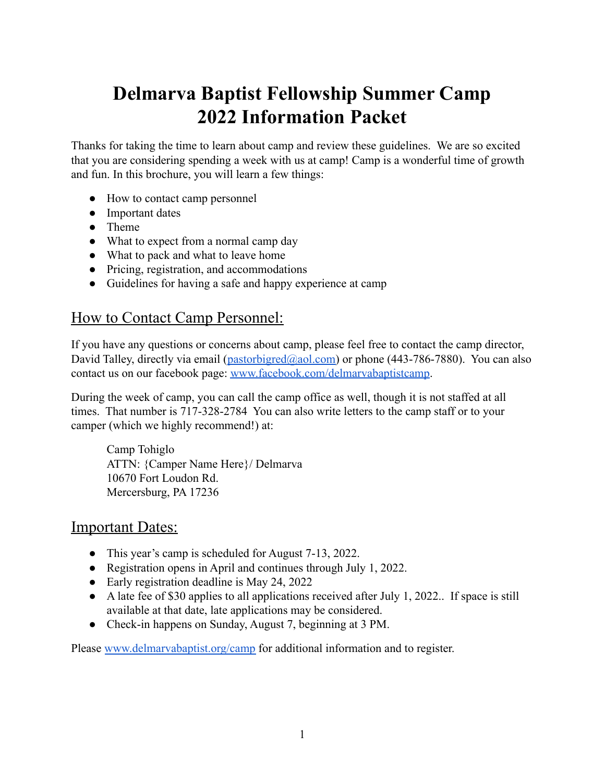# **Delmarva Baptist Fellowship Summer Camp 2022 Information Packet**

Thanks for taking the time to learn about camp and review these guidelines. We are so excited that you are considering spending a week with us at camp! Camp is a wonderful time of growth and fun. In this brochure, you will learn a few things:

- How to contact camp personnel
- Important dates
- Theme
- What to expect from a normal camp day
- What to pack and what to leave home
- Pricing, registration, and accommodations
- Guidelines for having a safe and happy experience at camp

### How to Contact Camp Personnel:

If you have any questions or concerns about camp, please feel free to contact the camp director, David Talley, directly via email ( $\text{pastorbigred}(Q_{\text{a}}\text{a}ol.com)$ ) or phone (443-786-7880). You can also contact us on our facebook page: [www.facebook.com/delmarvabaptistcamp](http://www.facebook.com/delmarvabaptistcamp).

During the week of camp, you can call the camp office as well, though it is not staffed at all times. That number is 717-328-2784 You can also write letters to the camp staff or to your camper (which we highly recommend!) at:

Camp Tohiglo ATTN: {Camper Name Here}/ Delmarva 10670 Fort Loudon Rd. Mercersburg, PA 17236

#### Important Dates:

- This year's camp is scheduled for August 7-13, 2022.
- Registration opens in April and continues through July 1, 2022.
- Early registration deadline is May 24, 2022
- A late fee of \$30 applies to all applications received after July 1, 2022. If space is still available at that date, late applications may be considered.
- Check-in happens on Sunday, August 7, beginning at 3 PM.

Please [www.delmarvabaptist.org/camp](http://www.delmarvabaptist.org/camp) for additional information and to register.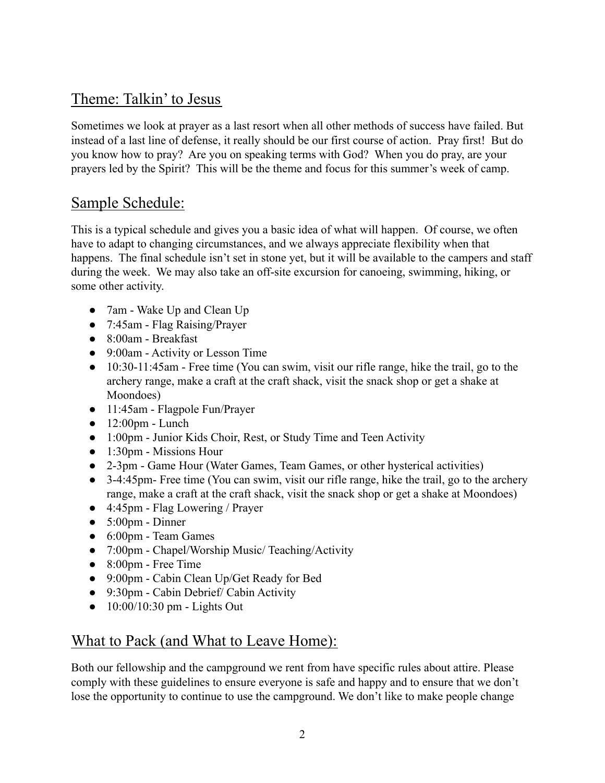# Theme: Talkin' to Jesus

Sometimes we look at prayer as a last resort when all other methods of success have failed. But instead of a last line of defense, it really should be our first course of action. Pray first! But do you know how to pray? Are you on speaking terms with God? When you do pray, are your prayers led by the Spirit? This will be the theme and focus for this summer's week of camp.

# Sample Schedule:

This is a typical schedule and gives you a basic idea of what will happen. Of course, we often have to adapt to changing circumstances, and we always appreciate flexibility when that happens. The final schedule isn't set in stone yet, but it will be available to the campers and staff during the week. We may also take an off-site excursion for canoeing, swimming, hiking, or some other activity.

- 7am Wake Up and Clean Up
- 7:45am Flag Raising/Prayer
- 8:00am Breakfast
- 9:00am Activity or Lesson Time
- 10:30-11:45am Free time (You can swim, visit our rifle range, hike the trail, go to the archery range, make a craft at the craft shack, visit the snack shop or get a shake at Moondoes)
- 11:45am Flagpole Fun/Prayer
- $\bullet$  12:00pm Lunch
- 1:00pm Junior Kids Choir, Rest, or Study Time and Teen Activity
- 1:30pm Missions Hour
- 2-3pm Game Hour (Water Games, Team Games, or other hysterical activities)
- 3-4:45pm- Free time (You can swim, visit our rifle range, hike the trail, go to the archery range, make a craft at the craft shack, visit the snack shop or get a shake at Moondoes)
- 4:45pm Flag Lowering / Prayer
- $\bullet$  5:00pm Dinner
- 6:00pm Team Games
- 7:00pm Chapel/Worship Music/ Teaching/Activity
- 8:00pm Free Time
- 9:00pm Cabin Clean Up/Get Ready for Bed
- 9:30pm Cabin Debrief/ Cabin Activity
- $\bullet$  10:00/10:30 pm Lights Out

# What to Pack (and What to Leave Home):

Both our fellowship and the campground we rent from have specific rules about attire. Please comply with these guidelines to ensure everyone is safe and happy and to ensure that we don't lose the opportunity to continue to use the campground. We don't like to make people change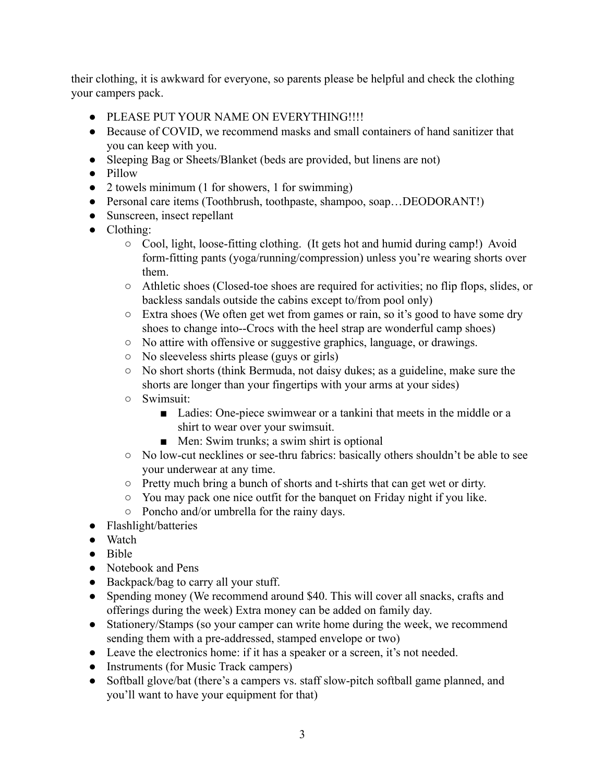their clothing, it is awkward for everyone, so parents please be helpful and check the clothing your campers pack.

- PLEASE PUT YOUR NAME ON EVERYTHING!!!!
- Because of COVID, we recommend masks and small containers of hand sanitizer that you can keep with you.
- Sleeping Bag or Sheets/Blanket (beds are provided, but linens are not)
- Pillow
- 2 towels minimum (1 for showers, 1 for swimming)
- Personal care items (Toothbrush, toothpaste, shampoo, soap...DEODORANT!)
- Sunscreen, insect repellant
- Clothing:
	- Cool, light, loose-fitting clothing. (It gets hot and humid during camp!) Avoid form-fitting pants (yoga/running/compression) unless you're wearing shorts over them.
	- Athletic shoes (Closed-toe shoes are required for activities; no flip flops, slides, or backless sandals outside the cabins except to/from pool only)
	- Extra shoes (We often get wet from games or rain, so it's good to have some dry shoes to change into--Crocs with the heel strap are wonderful camp shoes)
	- No attire with offensive or suggestive graphics, language, or drawings.
	- No sleeveless shirts please (guys or girls)
	- No short shorts (think Bermuda, not daisy dukes; as a guideline, make sure the shorts are longer than your fingertips with your arms at your sides)
	- Swimsuit:
		- Ladies: One-piece swimwear or a tankini that meets in the middle or a shirt to wear over your swimsuit.
		- Men: Swim trunks; a swim shirt is optional
	- No low-cut necklines or see-thru fabrics: basically others shouldn't be able to see your underwear at any time.
	- Pretty much bring a bunch of shorts and t-shirts that can get wet or dirty.
	- You may pack one nice outfit for the banquet on Friday night if you like.
	- Poncho and/or umbrella for the rainy days.
- Flashlight/batteries
- Watch
- Bible
- Notebook and Pens
- Backpack/bag to carry all your stuff.
- Spending money (We recommend around \$40. This will cover all snacks, crafts and offerings during the week) Extra money can be added on family day.
- Stationery/Stamps (so your camper can write home during the week, we recommend sending them with a pre-addressed, stamped envelope or two)
- Leave the electronics home: if it has a speaker or a screen, it's not needed.
- Instruments (for Music Track campers)
- Softball glove/bat (there's a campers vs. staff slow-pitch softball game planned, and you'll want to have your equipment for that)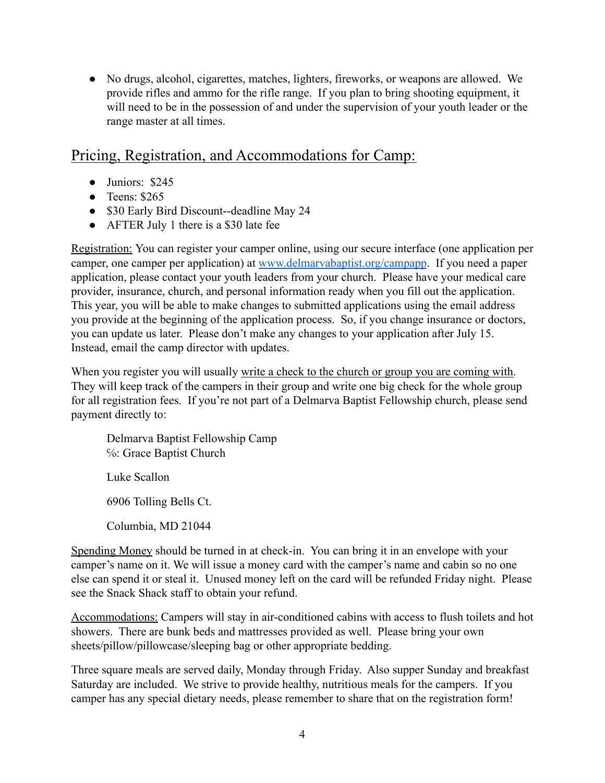● No drugs, alcohol, cigarettes, matches, lighters, fireworks, or weapons are allowed. We provide rifles and ammo for the rifle range. If you plan to bring shooting equipment, it will need to be in the possession of and under the supervision of your youth leader or the range master at all times.

### Pricing, Registration, and Accommodations for Camp:

- Juniors: \$245
- $\bullet$  Teens: \$265
- \$30 Early Bird Discount--deadline May 24
- AFTER July 1 there is a \$30 late fee

Registration: You can register your camper online, using our secure interface (one application per camper, one camper per application) at [www.delmarvabaptist.org/campapp](http://www.delmarvabaptist.org/campapp). If you need a paper application, please contact your youth leaders from your church. Please have your medical care provider, insurance, church, and personal information ready when you fill out the application. This year, you will be able to make changes to submitted applications using the email address you provide at the beginning of the application process. So, if you change insurance or doctors, you can update us later. Please don't make any changes to your application after July 15. Instead, email the camp director with updates.

When you register you will usually write a check to the church or group you are coming with. They will keep track of the campers in their group and write one big check for the whole group for all registration fees. If you're not part of a Delmarva Baptist Fellowship church, please send payment directly to:

Delmarva Baptist Fellowship Camp ℅: Grace Baptist Church Luke Scallon 6906 Tolling Bells Ct. Columbia, MD 21044

Spending Money should be turned in at check-in. You can bring it in an envelope with your camper's name on it. We will issue a money card with the camper's name and cabin so no one else can spend it or steal it. Unused money left on the card will be refunded Friday night. Please see the Snack Shack staff to obtain your refund.

Accommodations: Campers will stay in air-conditioned cabins with access to flush toilets and hot showers. There are bunk beds and mattresses provided as well. Please bring your own sheets/pillow/pillowcase/sleeping bag or other appropriate bedding.

Three square meals are served daily, Monday through Friday. Also supper Sunday and breakfast Saturday are included. We strive to provide healthy, nutritious meals for the campers. If you camper has any special dietary needs, please remember to share that on the registration form!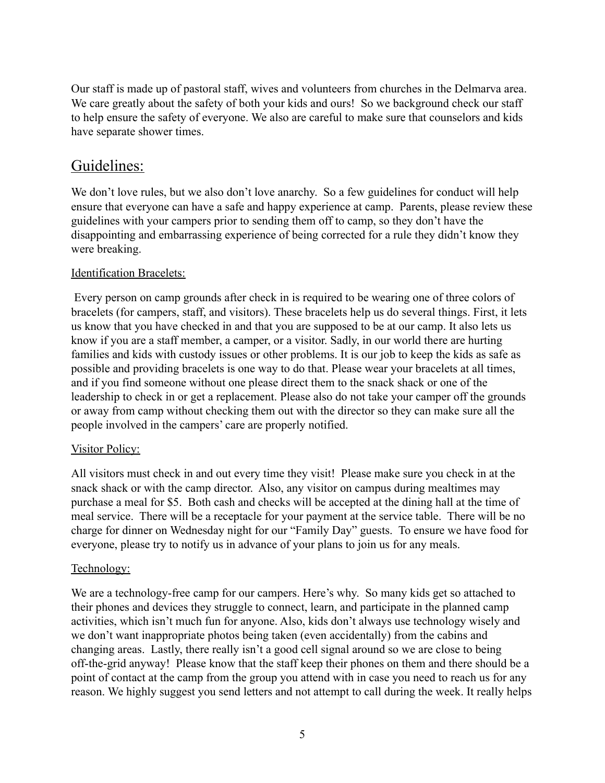Our staff is made up of pastoral staff, wives and volunteers from churches in the Delmarva area. We care greatly about the safety of both your kids and ours! So we background check our staff to help ensure the safety of everyone. We also are careful to make sure that counselors and kids have separate shower times.

# Guidelines:

We don't love rules, but we also don't love anarchy. So a few guidelines for conduct will help ensure that everyone can have a safe and happy experience at camp. Parents, please review these guidelines with your campers prior to sending them off to camp, so they don't have the disappointing and embarrassing experience of being corrected for a rule they didn't know they were breaking.

#### Identification Bracelets:

Every person on camp grounds after check in is required to be wearing one of three colors of bracelets (for campers, staff, and visitors). These bracelets help us do several things. First, it lets us know that you have checked in and that you are supposed to be at our camp. It also lets us know if you are a staff member, a camper, or a visitor. Sadly, in our world there are hurting families and kids with custody issues or other problems. It is our job to keep the kids as safe as possible and providing bracelets is one way to do that. Please wear your bracelets at all times, and if you find someone without one please direct them to the snack shack or one of the leadership to check in or get a replacement. Please also do not take your camper off the grounds or away from camp without checking them out with the director so they can make sure all the people involved in the campers' care are properly notified.

#### Visitor Policy:

All visitors must check in and out every time they visit! Please make sure you check in at the snack shack or with the camp director. Also, any visitor on campus during mealtimes may purchase a meal for \$5. Both cash and checks will be accepted at the dining hall at the time of meal service. There will be a receptacle for your payment at the service table. There will be no charge for dinner on Wednesday night for our "Family Day" guests. To ensure we have food for everyone, please try to notify us in advance of your plans to join us for any meals.

#### Technology:

We are a technology-free camp for our campers. Here's why. So many kids get so attached to their phones and devices they struggle to connect, learn, and participate in the planned camp activities, which isn't much fun for anyone. Also, kids don't always use technology wisely and we don't want inappropriate photos being taken (even accidentally) from the cabins and changing areas. Lastly, there really isn't a good cell signal around so we are close to being off-the-grid anyway! Please know that the staff keep their phones on them and there should be a point of contact at the camp from the group you attend with in case you need to reach us for any reason. We highly suggest you send letters and not attempt to call during the week. It really helps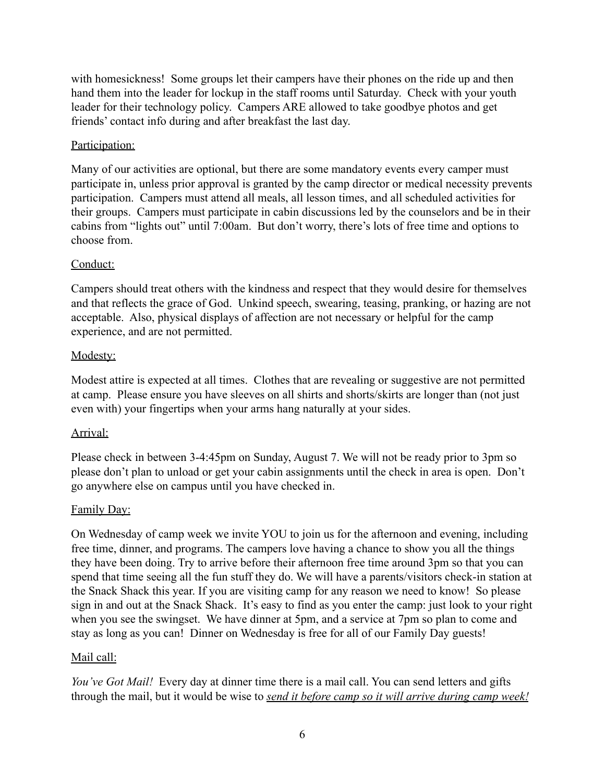with homesickness! Some groups let their campers have their phones on the ride up and then hand them into the leader for lockup in the staff rooms until Saturday. Check with your youth leader for their technology policy. Campers ARE allowed to take goodbye photos and get friends' contact info during and after breakfast the last day.

#### Participation:

Many of our activities are optional, but there are some mandatory events every camper must participate in, unless prior approval is granted by the camp director or medical necessity prevents participation. Campers must attend all meals, all lesson times, and all scheduled activities for their groups. Campers must participate in cabin discussions led by the counselors and be in their cabins from "lights out" until 7:00am. But don't worry, there's lots of free time and options to choose from.

#### Conduct:

Campers should treat others with the kindness and respect that they would desire for themselves and that reflects the grace of God. Unkind speech, swearing, teasing, pranking, or hazing are not acceptable. Also, physical displays of affection are not necessary or helpful for the camp experience, and are not permitted.

#### Modesty:

Modest attire is expected at all times. Clothes that are revealing or suggestive are not permitted at camp. Please ensure you have sleeves on all shirts and shorts/skirts are longer than (not just even with) your fingertips when your arms hang naturally at your sides.

#### Arrival:

Please check in between 3-4:45pm on Sunday, August 7. We will not be ready prior to 3pm so please don't plan to unload or get your cabin assignments until the check in area is open. Don't go anywhere else on campus until you have checked in.

#### Family Day:

On Wednesday of camp week we invite YOU to join us for the afternoon and evening, including free time, dinner, and programs. The campers love having a chance to show you all the things they have been doing. Try to arrive before their afternoon free time around 3pm so that you can spend that time seeing all the fun stuff they do. We will have a parents/visitors check-in station at the Snack Shack this year. If you are visiting camp for any reason we need to know! So please sign in and out at the Snack Shack. It's easy to find as you enter the camp: just look to your right when you see the swingset. We have dinner at 5pm, and a service at 7pm so plan to come and stay as long as you can! Dinner on Wednesday is free for all of our Family Day guests!

#### Mail call:

*You've Got Mail!* Every day at dinner time there is a mail call. You can send letters and gifts through the mail, but it would be wise to *send it before camp so it will arrive during camp week!*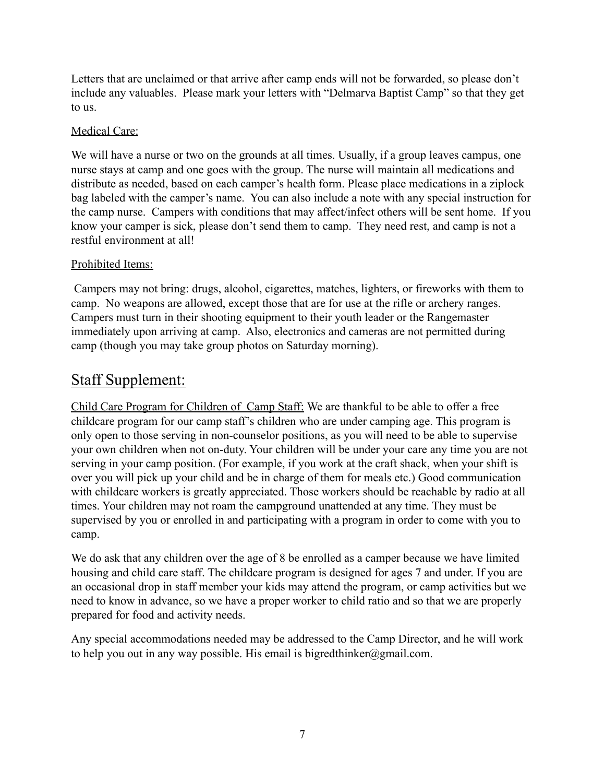Letters that are unclaimed or that arrive after camp ends will not be forwarded, so please don't include any valuables. Please mark your letters with "Delmarva Baptist Camp" so that they get to us.

#### Medical Care:

We will have a nurse or two on the grounds at all times. Usually, if a group leaves campus, one nurse stays at camp and one goes with the group. The nurse will maintain all medications and distribute as needed, based on each camper's health form. Please place medications in a ziplock bag labeled with the camper's name. You can also include a note with any special instruction for the camp nurse. Campers with conditions that may affect/infect others will be sent home. If you know your camper is sick, please don't send them to camp. They need rest, and camp is not a restful environment at all!

#### Prohibited Items:

Campers may not bring: drugs, alcohol, cigarettes, matches, lighters, or fireworks with them to camp. No weapons are allowed, except those that are for use at the rifle or archery ranges. Campers must turn in their shooting equipment to their youth leader or the Rangemaster immediately upon arriving at camp. Also, electronics and cameras are not permitted during camp (though you may take group photos on Saturday morning).

# Staff Supplement:

Child Care Program for Children of Camp Staff: We are thankful to be able to offer a free childcare program for our camp staff's children who are under camping age. This program is only open to those serving in non-counselor positions, as you will need to be able to supervise your own children when not on-duty. Your children will be under your care any time you are not serving in your camp position. (For example, if you work at the craft shack, when your shift is over you will pick up your child and be in charge of them for meals etc.) Good communication with childcare workers is greatly appreciated. Those workers should be reachable by radio at all times. Your children may not roam the campground unattended at any time. They must be supervised by you or enrolled in and participating with a program in order to come with you to camp.

We do ask that any children over the age of 8 be enrolled as a camper because we have limited housing and child care staff. The childcare program is designed for ages 7 and under. If you are an occasional drop in staff member your kids may attend the program, or camp activities but we need to know in advance, so we have a proper worker to child ratio and so that we are properly prepared for food and activity needs.

Any special accommodations needed may be addressed to the Camp Director, and he will work to help you out in any way possible. His email is bigredthinker@gmail.com.